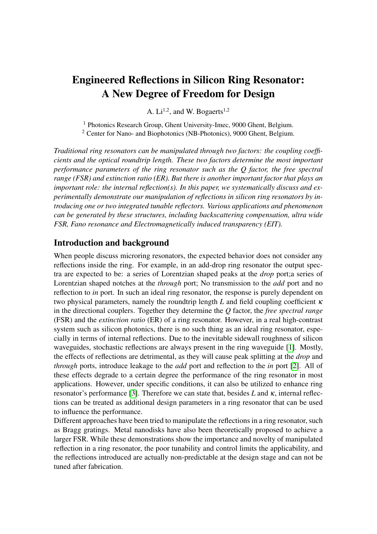## Engineered Reflections in Silicon Ring Resonator: A New Degree of Freedom for Design

A.  $Li^{1,2}$ , and W. Bogaerts<sup>1,2</sup>

<sup>1</sup> Photonics Research Group, Ghent University-Imec, 9000 Ghent, Belgium. <sup>2</sup> Center for Nano- and Biophotonics (NB-Photonics), 9000 Ghent, Belgium.

*Traditional ring resonators can be manipulated through two factors: the coupling coefficients and the optical roundtrip length. These two factors determine the most important performance parameters of the ring resonator such as the Q factor, the free spectral range (FSR) and extinction ratio (ER). But there is another important factor that plays an important role: the internal reflection(s). In this paper, we systematically discuss and experimentally demonstrate our manipulation of reflections in silicon ring resonators by introducing one or two integrated tunable reflectors. Various applications and phenomenon can be generated by these structures, including backscattering compensation, ultra wide FSR, Fano resonance and Electromagnetically induced transparency (EIT).*

## Introduction and background

When people discuss microring resonators, the expected behavior does not consider any reflections inside the ring. For example, in an add-drop ring resonator the output spectra are expected to be: a series of Lorentzian shaped peaks at the *drop* port;a series of Lorentzian shaped notches at the *through* port; No transmission to the *add* port and no reflection to *in* port. In such an ideal ring resonator, the response is purely dependent on two physical parameters, namely the roundtrip length *L* and field coupling coefficient κ in the directional couplers. Together they determine the *Q* factor, the *free spectral range* (FSR) and the *extinction ratio* (ER) of a ring resonator. However, in a real high-contrast system such as silicon photonics, there is no such thing as an ideal ring resonator, especially in terms of internal reflections. Due to the inevitable sidewall roughness of silicon waveguides, stochastic reflections are always present in the ring waveguide [\[1\]](#page-3-0). Mostly, the effects of reflections are detrimental, as they will cause peak splitting at the *drop* and *through* ports, introduce leakage to the *add* port and reflection to the *in* port [\[2\]](#page-3-1). All of these effects degrade to a certain degree the performance of the ring resonator in most applications. However, under specific conditions, it can also be utilized to enhance ring resonator's performance [\[3\]](#page-3-2). Therefore we can state that, besides *L* and κ, internal reflections can be treated as additional design parameters in a ring resonator that can be used to influence the performance.

Different approaches have been tried to manipulate the reflections in a ring resonator, such as Bragg gratings. Metal nanodisks have also been theoretically proposed to achieve a larger FSR. While these demonstrations show the importance and novelty of manipulated reflection in a ring resonator, the poor tunability and control limits the applicability, and the reflections introduced are actually non-predictable at the design stage and can not be tuned after fabrication.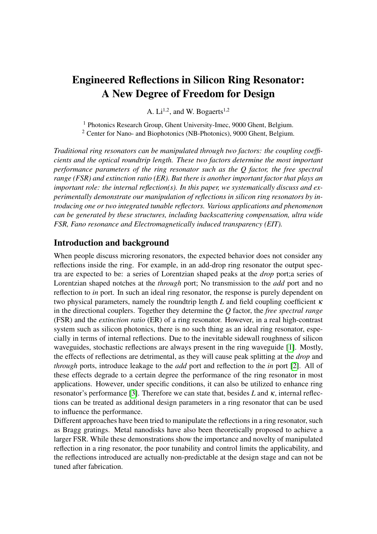<span id="page-1-0"></span>

Figure 1: Schematic for a ring with (a) one reflector and (b) two reflectors.

In this paper we propose and demonstrate our way of manipulating reflections in silicon ring resonators. We implement one or two tunable integrated reflectors inside the ring cavity and the reflectivity of such reflectors can be efficiently tuned over a wide range (from 0 to almost 100%) through thermo-optic phase shifters (heaters). This allowed us to observe very diverse phenomena and demonstrate different applications.

<span id="page-1-1"></span>

Figure 2: Simulation shows that  $\frac{\pi}{2}$  radians added to the phase shifter can generate a reflectivity change from 0 to 100% (a). Measurement proved 6 mW would lead to a 35 dB change in its reflectivity (b).

## Ring resonator with one reflector

The schematics of the device with one and two reflectors are shown in Fig. [1.](#page-1-0) The tunable reflector shown in purple is a loop-ended *Mach-Zenhder interferometer* (MZI), with a thermo-optic phase shifter in one arm. By adding only  $\frac{\pi}{2}$  radians to the phase shifter, its reflectivity can be changed from 0 to 100% as shown in Fig. [2](#page-1-1) [\[4\]](#page-3-3). The measurement result of this reflector confirms this: less than 6 mW tuning power can generate a 35 dB change in its reflectivity, also shown in Fig. [2.](#page-1-1) This broad tuning range enables various reflection conditions inside a ring resonator.

For the device with a single reflector, the most straightforward application is the suppression of stochastic backscattering originating from sidewall roughness and discontinuities at the directional couplers [\[4\]](#page-3-3). From previous research, we concluded that the total backscattering inside a ring cavity can be modelled as a lumped reflector with certain reflectivity and phase [\[2\]](#page-3-1). By introducing a controllable reflector inside the ring to compete with the backscattering, we should be able to suppress it. Fig. [3](#page-2-0) shows the measurement results of such application. After tuning the reflector to a correct condition, the splitting at *through* and *drop* ports is eliminated. Moreover, the leakage to the *add* port and reflection to the *in* port are also significantly suppressed. This approach can be potentially applied